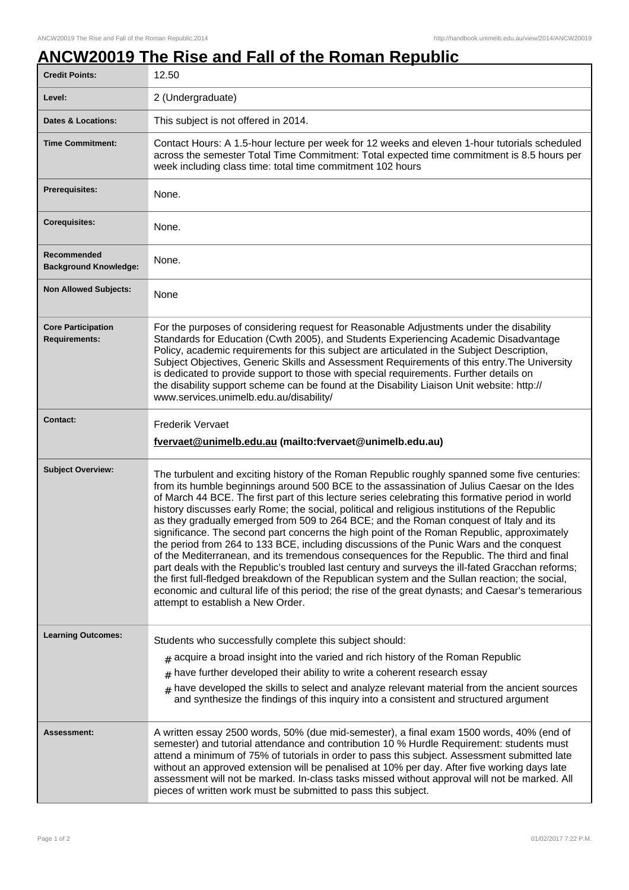## **ANCW20019 The Rise and Fall of the Roman Republic**

| <b>Credit Points:</b>                             | 12.50                                                                                                                                                                                                                                                                                                                                                                                                                                                                                                                                                                                                                                                                                                                                                                                                                                                                                                                                                                                                                                                                                                                                   |
|---------------------------------------------------|-----------------------------------------------------------------------------------------------------------------------------------------------------------------------------------------------------------------------------------------------------------------------------------------------------------------------------------------------------------------------------------------------------------------------------------------------------------------------------------------------------------------------------------------------------------------------------------------------------------------------------------------------------------------------------------------------------------------------------------------------------------------------------------------------------------------------------------------------------------------------------------------------------------------------------------------------------------------------------------------------------------------------------------------------------------------------------------------------------------------------------------------|
| Level:                                            | 2 (Undergraduate)                                                                                                                                                                                                                                                                                                                                                                                                                                                                                                                                                                                                                                                                                                                                                                                                                                                                                                                                                                                                                                                                                                                       |
| <b>Dates &amp; Locations:</b>                     | This subject is not offered in 2014.                                                                                                                                                                                                                                                                                                                                                                                                                                                                                                                                                                                                                                                                                                                                                                                                                                                                                                                                                                                                                                                                                                    |
| <b>Time Commitment:</b>                           | Contact Hours: A 1.5-hour lecture per week for 12 weeks and eleven 1-hour tutorials scheduled<br>across the semester Total Time Commitment: Total expected time commitment is 8.5 hours per<br>week including class time: total time commitment 102 hours                                                                                                                                                                                                                                                                                                                                                                                                                                                                                                                                                                                                                                                                                                                                                                                                                                                                               |
| <b>Prerequisites:</b>                             | None.                                                                                                                                                                                                                                                                                                                                                                                                                                                                                                                                                                                                                                                                                                                                                                                                                                                                                                                                                                                                                                                                                                                                   |
| <b>Corequisites:</b>                              | None.                                                                                                                                                                                                                                                                                                                                                                                                                                                                                                                                                                                                                                                                                                                                                                                                                                                                                                                                                                                                                                                                                                                                   |
| Recommended<br><b>Background Knowledge:</b>       | None.                                                                                                                                                                                                                                                                                                                                                                                                                                                                                                                                                                                                                                                                                                                                                                                                                                                                                                                                                                                                                                                                                                                                   |
| <b>Non Allowed Subjects:</b>                      | None                                                                                                                                                                                                                                                                                                                                                                                                                                                                                                                                                                                                                                                                                                                                                                                                                                                                                                                                                                                                                                                                                                                                    |
| <b>Core Participation</b><br><b>Requirements:</b> | For the purposes of considering request for Reasonable Adjustments under the disability<br>Standards for Education (Cwth 2005), and Students Experiencing Academic Disadvantage<br>Policy, academic requirements for this subject are articulated in the Subject Description,<br>Subject Objectives, Generic Skills and Assessment Requirements of this entry. The University<br>is dedicated to provide support to those with special requirements. Further details on<br>the disability support scheme can be found at the Disability Liaison Unit website: http://<br>www.services.unimelb.edu.au/disability/                                                                                                                                                                                                                                                                                                                                                                                                                                                                                                                        |
| <b>Contact:</b>                                   | <b>Frederik Vervaet</b><br>fvervaet@unimelb.edu.au (mailto:fvervaet@unimelb.edu.au)                                                                                                                                                                                                                                                                                                                                                                                                                                                                                                                                                                                                                                                                                                                                                                                                                                                                                                                                                                                                                                                     |
| <b>Subject Overview:</b>                          | The turbulent and exciting history of the Roman Republic roughly spanned some five centuries:<br>from its humble beginnings around 500 BCE to the assassination of Julius Caesar on the Ides<br>of March 44 BCE. The first part of this lecture series celebrating this formative period in world<br>history discusses early Rome; the social, political and religious institutions of the Republic<br>as they gradually emerged from 509 to 264 BCE; and the Roman conquest of Italy and its<br>significance. The second part concerns the high point of the Roman Republic, approximately<br>the period from 264 to 133 BCE, including discussions of the Punic Wars and the conquest<br>of the Mediterranean, and its tremendous consequences for the Republic. The third and final<br>part deals with the Republic's troubled last century and surveys the ill-fated Gracchan reforms;<br>the first full-fledged breakdown of the Republican system and the Sullan reaction; the social,<br>economic and cultural life of this period; the rise of the great dynasts; and Caesar's temerarious<br>attempt to establish a New Order. |
| <b>Learning Outcomes:</b>                         | Students who successfully complete this subject should:<br>$#$ acquire a broad insight into the varied and rich history of the Roman Republic<br>$#$ have further developed their ability to write a coherent research essay<br>$#$ have developed the skills to select and analyze relevant material from the ancient sources<br>and synthesize the findings of this inquiry into a consistent and structured argument                                                                                                                                                                                                                                                                                                                                                                                                                                                                                                                                                                                                                                                                                                                 |
| <b>Assessment:</b>                                | A written essay 2500 words, 50% (due mid-semester), a final exam 1500 words, 40% (end of<br>semester) and tutorial attendance and contribution 10 % Hurdle Requirement: students must<br>attend a minimum of 75% of tutorials in order to pass this subject. Assessment submitted late<br>without an approved extension will be penalised at 10% per day. After five working days late<br>assessment will not be marked. In-class tasks missed without approval will not be marked. All<br>pieces of written work must be submitted to pass this subject.                                                                                                                                                                                                                                                                                                                                                                                                                                                                                                                                                                               |